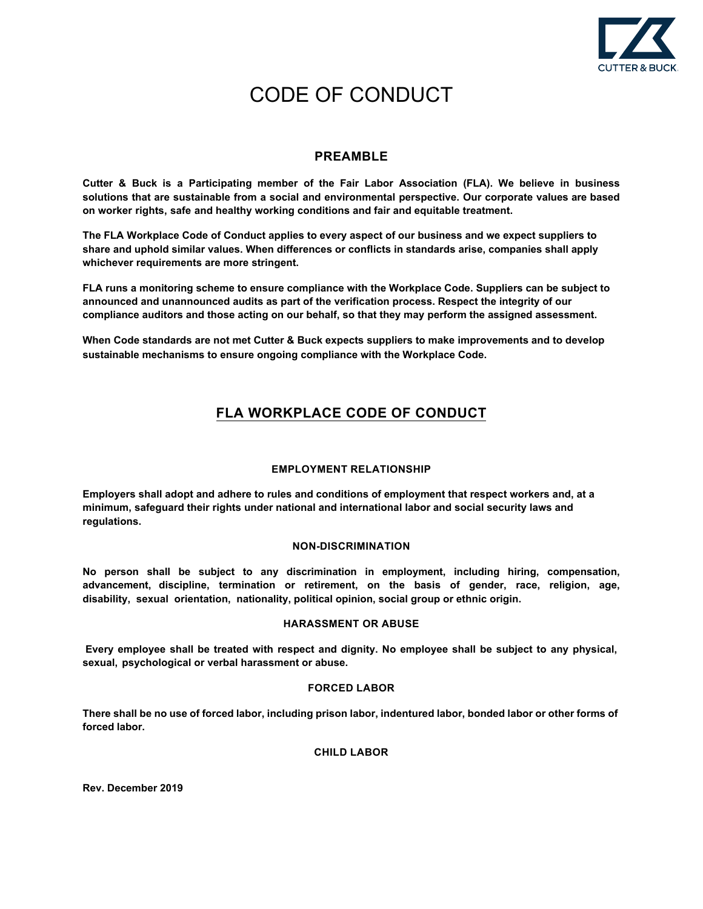

# CODE OF CONDUCT

# **PREAMBLE**

**Cutter & Buck is a Participating member of the Fair Labor Association (FLA). We believe in business solutions that are sustainable from a social and environmental perspective. Our corporate values are based on worker rights, safe and healthy working conditions and fair and equitable treatment.** 

**The FLA Workplace Code of Conduct applies to every aspect of our business and we expect suppliers to share and uphold similar values. When differences or conflicts in standards arise, companies shall apply whichever requirements are more stringent.** 

**FLA runs a monitoring scheme to ensure compliance with the Workplace Code. Suppliers can be subject to announced and unannounced audits as part of the verification process. Respect the integrity of our compliance auditors and those acting on our behalf, so that they may perform the assigned assessment.** 

**When Code standards are not met Cutter & Buck expects suppliers to make improvements and to develop sustainable mechanisms to ensure ongoing compliance with the Workplace Code.** 

# **FLA WORKPLACE CODE OF CONDUCT**

# **EMPLOYMENT RELATIONSHIP**

**Employers shall adopt and adhere to rules and conditions of employment that respect workers and, at a minimum, safeguard their rights under national and international labor and social security laws and regulations.** 

# **NON-DISCRIMINATION**

**No person shall be subject to any discrimination in employment, including hiring, compensation, advancement, discipline, termination or retirement, on the basis of gender, race, religion, age, disability, sexual orientation, nationality, political opinion, social group or ethnic origin.** 

# **HARASSMENT OR ABUSE**

**Every employee shall be treated with respect and dignity. No employee shall be subject to any physical, sexual, psychological or verbal harassment or abuse.** 

# **FORCED LABOR**

**There shall be no use of forced labor, including prison labor, indentured labor, bonded labor or other forms of forced labor.** 

# **CHILD LABOR**

**Rev. December 2019**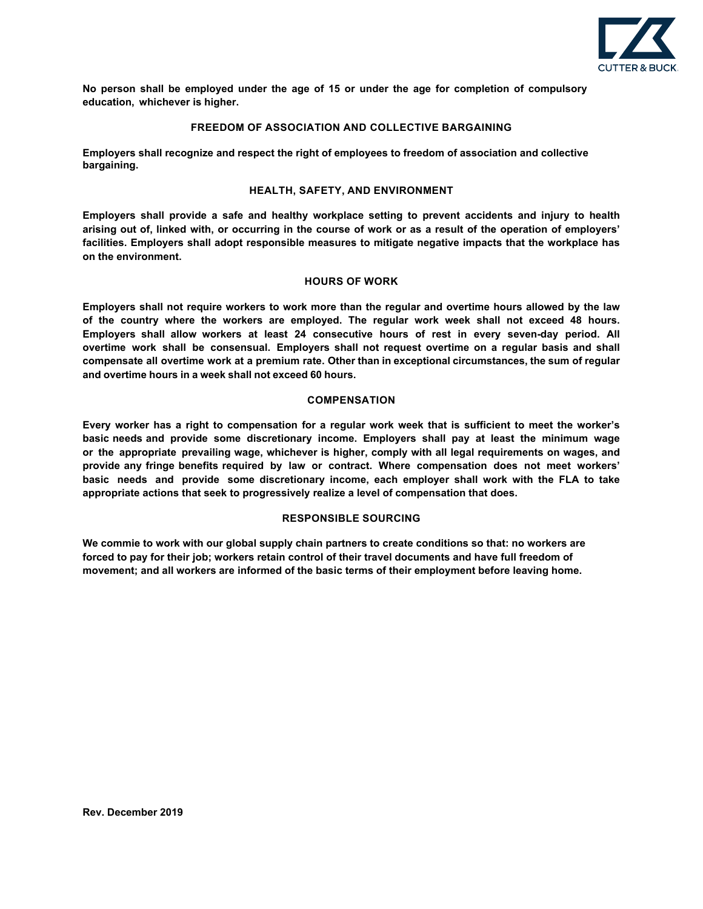

**No person shall be employed under the age of 15 or under the age for completion of compulsory education, whichever is higher.** 

#### **FREEDOM OF ASSOCIATION AND COLLECTIVE BARGAINING**

**Employers shall recognize and respect the right of employees to freedom of association and collective bargaining.** 

#### **HEALTH, SAFETY, AND ENVIRONMENT**

**Employers shall provide a safe and healthy workplace setting to prevent accidents and injury to health arising out of, linked with, or occurring in the course of work or as a result of the operation of employers' facilities. Employers shall adopt responsible measures to mitigate negative impacts that the workplace has on the environment.** 

#### **HOURS OF WORK**

**Employers shall not require workers to work more than the regular and overtime hours allowed by the law of the country where the workers are employed. The regular work week shall not exceed 48 hours. Employers shall allow workers at least 24 consecutive hours of rest in every seven-day period. All overtime work shall be consensual. Employers shall not request overtime on a regular basis and shall compensate all overtime work at a premium rate. Other than in exceptional circumstances, the sum of regular and overtime hours in a week shall not exceed 60 hours.** 

#### **COMPENSATION**

**Every worker has a right to compensation for a regular work week that is sufficient to meet the worker's basic needs and provide some discretionary income. Employers shall pay at least the minimum wage or the appropriate prevailing wage, whichever is higher, comply with all legal requirements on wages, and provide any fringe benefits required by law or contract. Where compensation does not meet workers' basic needs and provide some discretionary income, each employer shall work with the FLA to take appropriate actions that seek to progressively realize a level of compensation that does.** 

#### **RESPONSIBLE SOURCING**

**We commie to work with our global supply chain partners to create conditions so that: no workers are forced to pay for their job; workers retain control of their travel documents and have full freedom of movement; and all workers are informed of the basic terms of their employment before leaving home.**